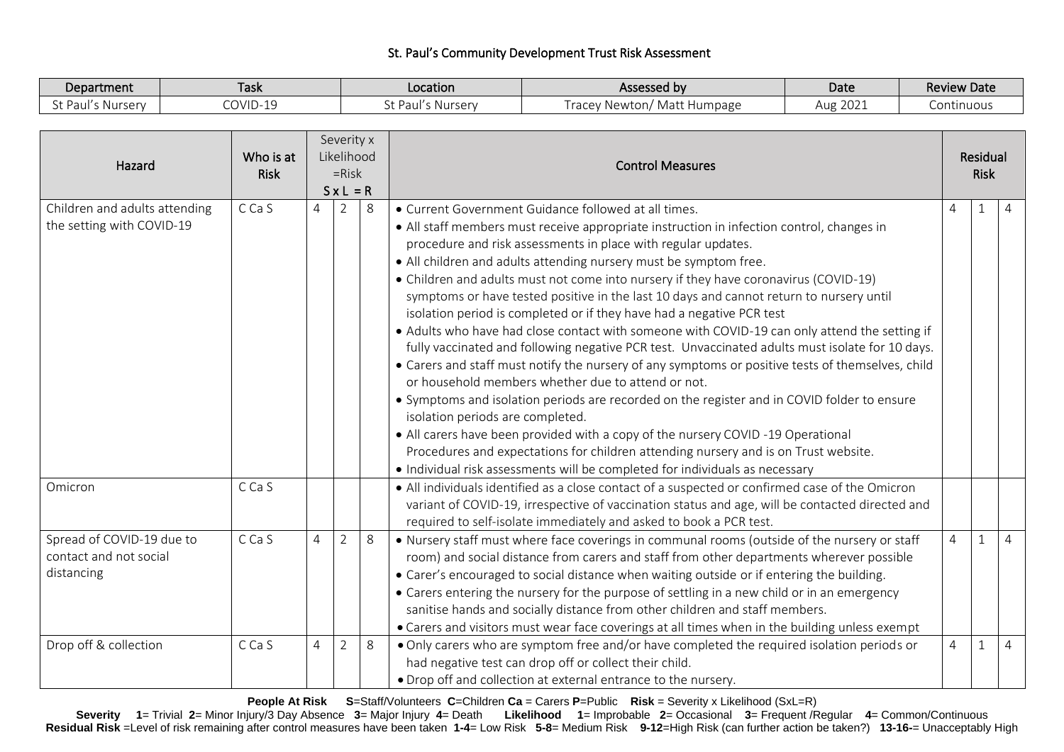## St. Paul's Community Development Trust Risk Assessment

| Department     | -<br>Task | Location                             | Assessed by                                                                             | Date                  | <b>Review Date</b> |
|----------------|-----------|--------------------------------------|-----------------------------------------------------------------------------------------|-----------------------|--------------------|
| Nursery<br>aul | COVID-19  | $\hat{ }$ Paul's.<br>s Nursery<br>しし | Matt F<br>$N$ $\sim$ $+$ $\sim$ $\sim$ $+$<br>: Humpage<br>5000<br>Tacl<br>17 H<br>-WWW | $\bigcap$<br>Aug 2021 | <b>Continuous</b>  |

| Hazard                                                            | Who is at<br><b>Risk</b> | Severity x<br>Likelihood<br>$=$ Risk<br>$S \times L = R$ |                |   | <b>Control Measures</b>                                                                                                                                                                                                                                                                                                                                                                                                                                                                                                                                                                                                                                                                                                                                                                                                                                                                                                                                                                                                                                                                                                                                                                                                                                                                                          |          |              | Residual<br><b>Risk</b> |
|-------------------------------------------------------------------|--------------------------|----------------------------------------------------------|----------------|---|------------------------------------------------------------------------------------------------------------------------------------------------------------------------------------------------------------------------------------------------------------------------------------------------------------------------------------------------------------------------------------------------------------------------------------------------------------------------------------------------------------------------------------------------------------------------------------------------------------------------------------------------------------------------------------------------------------------------------------------------------------------------------------------------------------------------------------------------------------------------------------------------------------------------------------------------------------------------------------------------------------------------------------------------------------------------------------------------------------------------------------------------------------------------------------------------------------------------------------------------------------------------------------------------------------------|----------|--------------|-------------------------|
| Children and adults attending<br>the setting with COVID-19        | C Ca S                   | $\Delta$                                                 | $\overline{2}$ | 8 | • Current Government Guidance followed at all times.<br>• All staff members must receive appropriate instruction in infection control, changes in<br>procedure and risk assessments in place with regular updates.<br>. All children and adults attending nursery must be symptom free.<br>• Children and adults must not come into nursery if they have coronavirus (COVID-19)<br>symptoms or have tested positive in the last 10 days and cannot return to nursery until<br>isolation period is completed or if they have had a negative PCR test<br>• Adults who have had close contact with someone with COVID-19 can only attend the setting if<br>fully vaccinated and following negative PCR test. Unvaccinated adults must isolate for 10 days.<br>• Carers and staff must notify the nursery of any symptoms or positive tests of themselves, child<br>or household members whether due to attend or not.<br>• Symptoms and isolation periods are recorded on the register and in COVID folder to ensure<br>isolation periods are completed.<br>• All carers have been provided with a copy of the nursery COVID -19 Operational<br>Procedures and expectations for children attending nursery and is on Trust website.<br>• Individual risk assessments will be completed for individuals as necessary | $\Delta$ |              |                         |
| Omicron                                                           | C Ca S                   |                                                          |                |   | • All individuals identified as a close contact of a suspected or confirmed case of the Omicron<br>variant of COVID-19, irrespective of vaccination status and age, will be contacted directed and<br>required to self-isolate immediately and asked to book a PCR test.                                                                                                                                                                                                                                                                                                                                                                                                                                                                                                                                                                                                                                                                                                                                                                                                                                                                                                                                                                                                                                         |          |              |                         |
| Spread of COVID-19 due to<br>contact and not social<br>distancing | C Ca S                   | $\overline{4}$                                           | $\overline{2}$ | 8 | . Nursery staff must where face coverings in communal rooms (outside of the nursery or staff<br>room) and social distance from carers and staff from other departments wherever possible<br>• Carer's encouraged to social distance when waiting outside or if entering the building.<br>• Carers entering the nursery for the purpose of settling in a new child or in an emergency<br>sanitise hands and socially distance from other children and staff members.<br>• Carers and visitors must wear face coverings at all times when in the building unless exempt                                                                                                                                                                                                                                                                                                                                                                                                                                                                                                                                                                                                                                                                                                                                            | 4        | $\mathbf{1}$ | $\overline{4}$          |
| Drop off & collection                                             | C Ca S                   | 4                                                        | $\overline{2}$ | 8 | • Only carers who are symptom free and/or have completed the required isolation periods or<br>had negative test can drop off or collect their child.<br>• Drop off and collection at external entrance to the nursery.                                                                                                                                                                                                                                                                                                                                                                                                                                                                                                                                                                                                                                                                                                                                                                                                                                                                                                                                                                                                                                                                                           | 4        | $\mathbf{1}$ | $\overline{4}$          |

**People At Risk S**=Staff/Volunteers **C**=Children **Ca** = Carers **P**=Public **Risk** = Severity x Likelihood (SxL=R)

Severity 1= Trivial 2= Minor Injury/3 Day Absence 3= Major Injury 4= Death Likelihood 1= Improbable 2= Occasional 3= Frequent /Regular 4= Common/Continuous **Residual Risk** =Level of risk remaining after control measures have been taken **1-4**= Low Risk **5-8**= Medium Risk **9-12**=High Risk (can further action be taken?) **13-16-**= Unacceptably High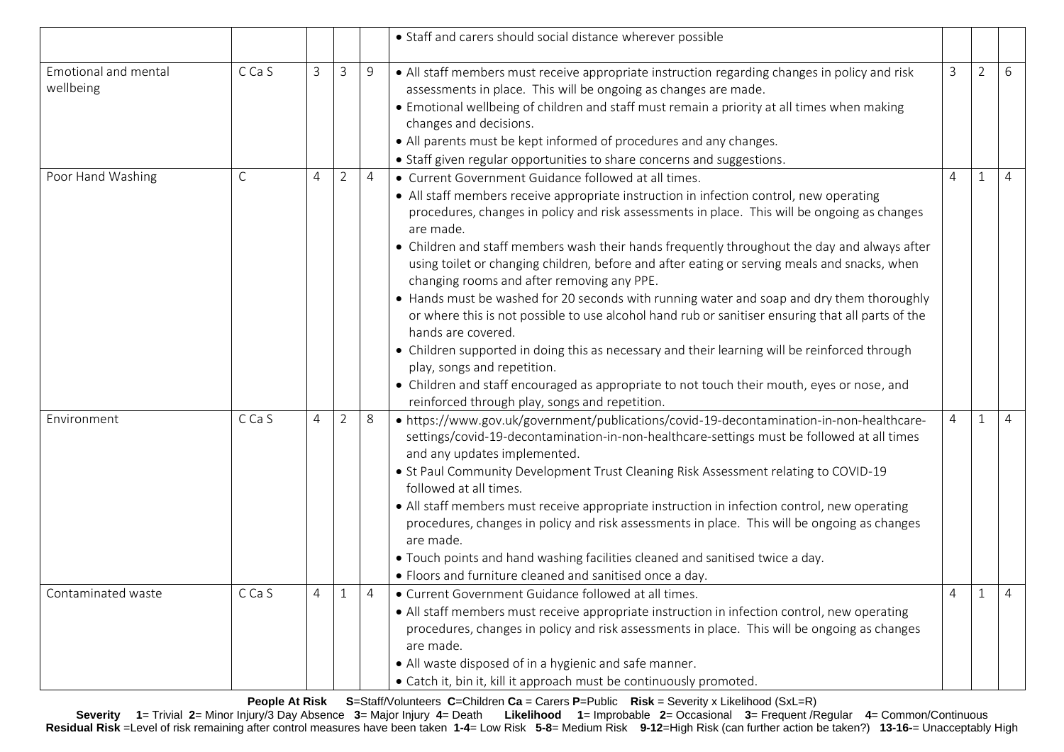|                                   |        |                |                |                | • Staff and carers should social distance wherever possible                                                                                                                                                                                                                                                                                                                                                                                                                                                                                                                                                                                                                                                                                                                                                                                                                                                                                                                                                        |                |   |   |
|-----------------------------------|--------|----------------|----------------|----------------|--------------------------------------------------------------------------------------------------------------------------------------------------------------------------------------------------------------------------------------------------------------------------------------------------------------------------------------------------------------------------------------------------------------------------------------------------------------------------------------------------------------------------------------------------------------------------------------------------------------------------------------------------------------------------------------------------------------------------------------------------------------------------------------------------------------------------------------------------------------------------------------------------------------------------------------------------------------------------------------------------------------------|----------------|---|---|
| Emotional and mental<br>wellbeing | C Ca S | $\overline{3}$ | $\mathsf{3}$   | $9$            | • All staff members must receive appropriate instruction regarding changes in policy and risk<br>assessments in place. This will be ongoing as changes are made.<br>• Emotional wellbeing of children and staff must remain a priority at all times when making<br>changes and decisions.<br>• All parents must be kept informed of procedures and any changes.<br>• Staff given regular opportunities to share concerns and suggestions.                                                                                                                                                                                                                                                                                                                                                                                                                                                                                                                                                                          | $\mathbf{3}$   | 2 | 6 |
| Poor Hand Washing                 | С      | $\overline{4}$ | $\overline{2}$ | $\overline{4}$ | • Current Government Guidance followed at all times.<br>• All staff members receive appropriate instruction in infection control, new operating<br>procedures, changes in policy and risk assessments in place. This will be ongoing as changes<br>are made.<br>• Children and staff members wash their hands frequently throughout the day and always after<br>using toilet or changing children, before and after eating or serving meals and snacks, when<br>changing rooms and after removing any PPE.<br>• Hands must be washed for 20 seconds with running water and soap and dry them thoroughly<br>or where this is not possible to use alcohol hand rub or sanitiser ensuring that all parts of the<br>hands are covered.<br>• Children supported in doing this as necessary and their learning will be reinforced through<br>play, songs and repetition.<br>• Children and staff encouraged as appropriate to not touch their mouth, eyes or nose, and<br>reinforced through play, songs and repetition. | 4              |   | 4 |
| Environment                       | C Ca S | 4              | $\overline{2}$ | 8              | • https://www.gov.uk/government/publications/covid-19-decontamination-in-non-healthcare-<br>settings/covid-19-decontamination-in-non-healthcare-settings must be followed at all times<br>and any updates implemented.<br>• St Paul Community Development Trust Cleaning Risk Assessment relating to COVID-19<br>followed at all times.<br>• All staff members must receive appropriate instruction in infection control, new operating<br>procedures, changes in policy and risk assessments in place. This will be ongoing as changes<br>are made.<br>. Touch points and hand washing facilities cleaned and sanitised twice a day.<br>• Floors and furniture cleaned and sanitised once a day.                                                                                                                                                                                                                                                                                                                  | $\overline{4}$ |   | 4 |
| Contaminated waste                | C Ca S | $\overline{4}$ | $1\,$          |                | • Current Government Guidance followed at all times.<br>• All staff members must receive appropriate instruction in infection control, new operating<br>procedures, changes in policy and risk assessments in place. This will be ongoing as changes<br>are made.<br>• All waste disposed of in a hygienic and safe manner.<br>• Catch it, bin it, kill it approach must be continuously promoted.                                                                                                                                                                                                                                                                                                                                                                                                                                                                                                                                                                                                                 |                |   |   |

**People At Risk S**=Staff/Volunteers **C**=Children **Ca** = Carers **P**=Public **Risk** = Severity x Likelihood (SxL=R)

Severity 1= Trivial 2= Minor Injury/3 Day Absence 3= Major Injury 4= Death Likelihood 1= Improbable 2= Occasional 3= Frequent /Regular 4= Common/Continuous **Residual Risk** =Level of risk remaining after control measures have been taken **1-4**= Low Risk **5-8**= Medium Risk **9-12**=High Risk (can further action be taken?) **13-16-**= Unacceptably High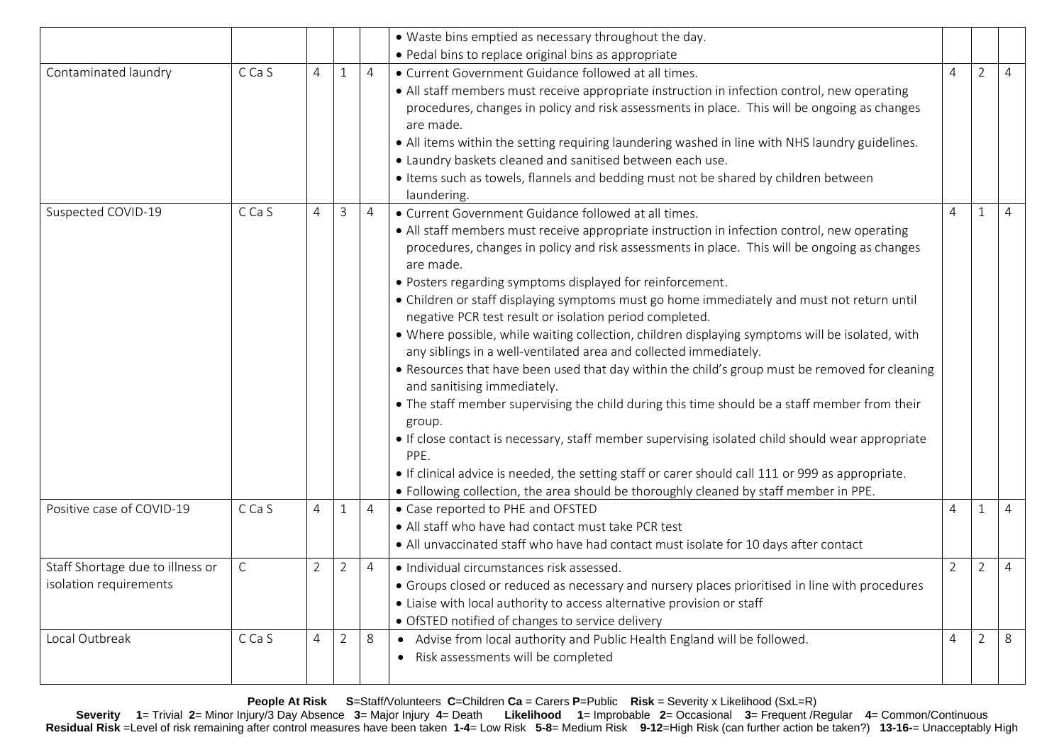|                                                            |              |                |                |                | • Waste bins emptied as necessary throughout the day.                                                                                                                                                                                                                                                                                                                                                                                                                                                                                                                                                                                                                                                                                                                                                                                                                                                                                                                                                                                                                                                                                                                                                                 |                     |                |                |
|------------------------------------------------------------|--------------|----------------|----------------|----------------|-----------------------------------------------------------------------------------------------------------------------------------------------------------------------------------------------------------------------------------------------------------------------------------------------------------------------------------------------------------------------------------------------------------------------------------------------------------------------------------------------------------------------------------------------------------------------------------------------------------------------------------------------------------------------------------------------------------------------------------------------------------------------------------------------------------------------------------------------------------------------------------------------------------------------------------------------------------------------------------------------------------------------------------------------------------------------------------------------------------------------------------------------------------------------------------------------------------------------|---------------------|----------------|----------------|
|                                                            |              |                |                |                | • Pedal bins to replace original bins as appropriate                                                                                                                                                                                                                                                                                                                                                                                                                                                                                                                                                                                                                                                                                                                                                                                                                                                                                                                                                                                                                                                                                                                                                                  |                     |                |                |
| Contaminated laundry                                       | C Ca S       | 4              | $\mathbf{1}$   | $\overline{4}$ | • Current Government Guidance followed at all times.<br>• All staff members must receive appropriate instruction in infection control, new operating<br>procedures, changes in policy and risk assessments in place. This will be ongoing as changes<br>are made.<br>. All items within the setting requiring laundering washed in line with NHS laundry guidelines.<br>. Laundry baskets cleaned and sanitised between each use.<br>• Items such as towels, flannels and bedding must not be shared by children between<br>laundering.                                                                                                                                                                                                                                                                                                                                                                                                                                                                                                                                                                                                                                                                               | 4                   | 2              | $\overline{4}$ |
| Suspected COVID-19                                         | C Ca S       | 4              | $\overline{3}$ | $\overline{4}$ | • Current Government Guidance followed at all times.<br>• All staff members must receive appropriate instruction in infection control, new operating<br>procedures, changes in policy and risk assessments in place. This will be ongoing as changes<br>are made.<br>· Posters regarding symptoms displayed for reinforcement.<br>• Children or staff displaying symptoms must go home immediately and must not return until<br>negative PCR test result or isolation period completed.<br>• Where possible, while waiting collection, children displaying symptoms will be isolated, with<br>any siblings in a well-ventilated area and collected immediately.<br>. Resources that have been used that day within the child's group must be removed for cleaning<br>and sanitising immediately.<br>• The staff member supervising the child during this time should be a staff member from their<br>group.<br>• If close contact is necessary, staff member supervising isolated child should wear appropriate<br>PPE.<br>• If clinical advice is needed, the setting staff or carer should call 111 or 999 as appropriate.<br>. Following collection, the area should be thoroughly cleaned by staff member in PPE. | Δ                   | $\mathbf{1}$   | $\overline{4}$ |
| Positive case of COVID-19                                  | C Ca S       | 4              | $\mathbf{1}$   | 4              | • Case reported to PHE and OFSTED<br>• All staff who have had contact must take PCR test<br>• All unvaccinated staff who have had contact must isolate for 10 days after contact                                                                                                                                                                                                                                                                                                                                                                                                                                                                                                                                                                                                                                                                                                                                                                                                                                                                                                                                                                                                                                      | 4                   | 1              | $\overline{4}$ |
| Staff Shortage due to illness or<br>isolation requirements | $\mathsf{C}$ | $\overline{2}$ | $\overline{2}$ | $\overline{4}$ | · Individual circumstances risk assessed.<br>• Groups closed or reduced as necessary and nursery places prioritised in line with procedures<br>• Liaise with local authority to access alternative provision or staff<br>· OfSTED notified of changes to service delivery                                                                                                                                                                                                                                                                                                                                                                                                                                                                                                                                                                                                                                                                                                                                                                                                                                                                                                                                             | $\overline{2}$<br>2 |                | $\overline{4}$ |
| Local Outbreak                                             | C Ca S       | $\overline{4}$ | $\overline{2}$ | 8              | Advise from local authority and Public Health England will be followed.<br>$\bullet$<br>Risk assessments will be completed                                                                                                                                                                                                                                                                                                                                                                                                                                                                                                                                                                                                                                                                                                                                                                                                                                                                                                                                                                                                                                                                                            | $\overline{4}$      | $\overline{2}$ | 8              |

**People At Risk S**=Staff/Volunteers **C**=Children **Ca** = Carers **P**=Public **Risk** = Severity x Likelihood (SxL=R)

Severity 1= Trivial 2= Minor Injury/3 Day Absence 3= Major Injury 4= Death Likelihood 1= Improbable 2= Occasional 3= Frequent /Regular 4= Common/Continuous **Residual Risk** =Level of risk remaining after control measures have been taken **1-4**= Low Risk **5-8**= Medium Risk **9-12**=High Risk (can further action be taken?) **13-16-**= Unacceptably High